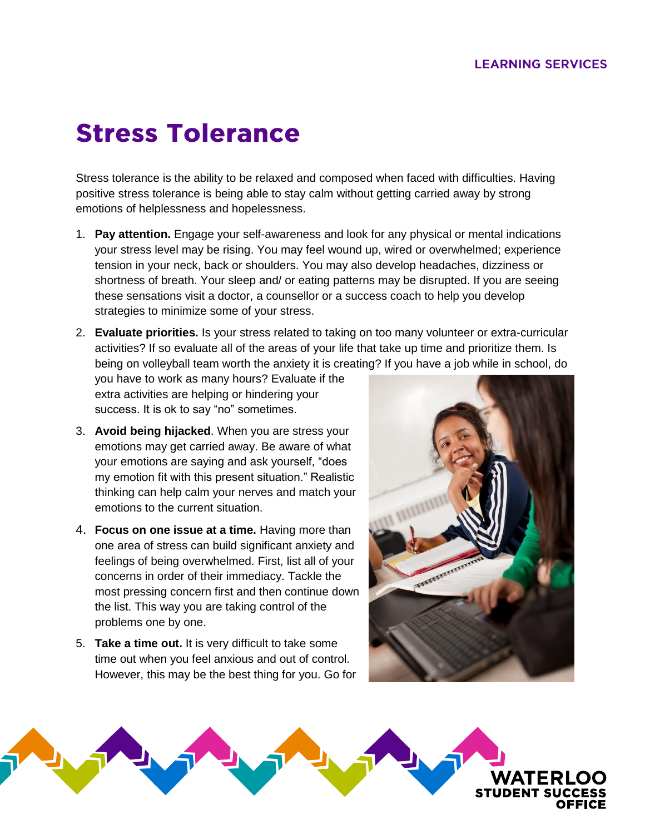## **Stress Tolerance**

Stress tolerance is the ability to be relaxed and composed when faced with difficulties. Having positive stress tolerance is being able to stay calm without getting carried away by strong emotions of helplessness and hopelessness.

1. **Pay attention.** Engage your self-awareness and look for any physical or mental indications your stress level may be rising. You may feel wound up, wired or overwhelmed; experience tension in your neck, back or shoulders. You may also develop headaches, dizziness or shortness of breath. Your sleep and/ or eating patterns may be disrupted. If you are seeing these sensations visit a doctor, a counsellor or a success coach to help you develop strategies to minimize some of your stress.

2. **Evaluate priorities.** Is your stress related to taking on too many volunteer or extra-curricular activities? If so evaluate all of the areas of your life that take up time and prioritize them. Is being on volleyball team worth the anxiety it is creating? If you have a job while in school, do

you have to work as many hours? Evaluate if the extra activities are helping or hindering your success. It is ok to say "no" sometimes.

- 3. **Avoid being hijacked**. When you are stress your emotions may get carried away. Be aware of what your emotions are saying and ask yourself, "does my emotion fit with this present situation." Realistic thinking can help calm your nerves and match your emotions to the current situation.
- 4. **Focus on one issue at a time.** Having more than one area of stress can build significant anxiety and feelings of being overwhelmed. First, list all of your concerns in order of their immediacy. Tackle the most pressing concern first and then continue down the list. This way you are taking control of the problems one by one.
- 5. **Take a time out.** It is very difficult to take some time out when you feel anxious and out of control. However, this may be the best thing for you. Go for